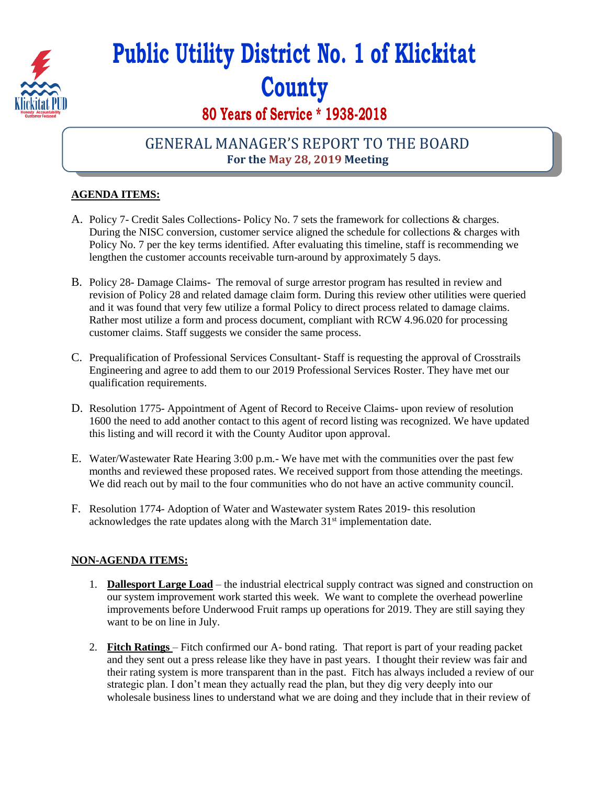

# **Public Utility District No. 1 of Klickitat County**

# **80 Years of Service \* 1938-2018**

## GENERAL MANAGER'S REPORT TO THE BOARD **For the May 28, 2019 Meeting**

### **AGENDA ITEMS:**

- A. Policy 7- Credit Sales Collections- Policy No. 7 sets the framework for collections & charges. During the NISC conversion, customer service aligned the schedule for collections & charges with Policy No. 7 per the key terms identified. After evaluating this timeline, staff is recommending we lengthen the customer accounts receivable turn-around by approximately 5 days.
- B. Policy 28- Damage Claims- The removal of surge arrestor program has resulted in review and revision of Policy 28 and related damage claim form. During this review other utilities were queried and it was found that very few utilize a formal Policy to direct process related to damage claims. Rather most utilize a form and process document, compliant with RCW 4.96.020 for processing customer claims. Staff suggests we consider the same process.
- C. Prequalification of Professional Services Consultant- Staff is requesting the approval of Crosstrails Engineering and agree to add them to our 2019 Professional Services Roster. They have met our qualification requirements.
- D. Resolution 1775- Appointment of Agent of Record to Receive Claims- upon review of resolution 1600 the need to add another contact to this agent of record listing was recognized. We have updated this listing and will record it with the County Auditor upon approval.
- E. Water/Wastewater Rate Hearing 3:00 p.m.- We have met with the communities over the past few months and reviewed these proposed rates. We received support from those attending the meetings. We did reach out by mail to the four communities who do not have an active community council.
- F. Resolution 1774- Adoption of Water and Wastewater system Rates 2019- this resolution acknowledges the rate updates along with the March 31<sup>st</sup> implementation date.

#### **NON-AGENDA ITEMS:**

- 1. **Dallesport Large Load** the industrial electrical supply contract was signed and construction on our system improvement work started this week. We want to complete the overhead powerline improvements before Underwood Fruit ramps up operations for 2019. They are still saying they want to be on line in July.
- 2. **Fitch Ratings**  Fitch confirmed our A- bond rating. That report is part of your reading packet and they sent out a press release like they have in past years. I thought their review was fair and their rating system is more transparent than in the past. Fitch has always included a review of our strategic plan. I don't mean they actually read the plan, but they dig very deeply into our wholesale business lines to understand what we are doing and they include that in their review of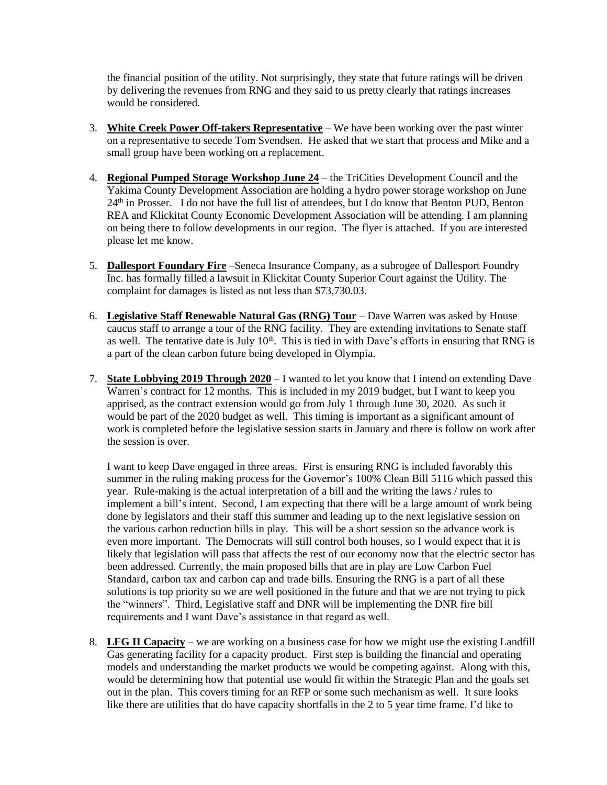the financial position of the utility. Not surprisingly, they state that future ratings will be driven by delivering the revenues from RNG and they said to us pretty clearly that ratings increases would be considered.

- 3. **White Creek Power Off-takers Representative** We have been working over the past winter on a representative to secede Tom Svendsen. He asked that we start that process and Mike and a small group have been working on a replacement.
- 4. **Regional Pumped Storage Workshop June 24** the TriCities Development Council and the Yakima County Development Association are holding a hydro power storage workshop on June 24<sup>th</sup> in Prosser. I do not have the full list of attendees, but I do know that Benton PUD, Benton REA and Klickitat County Economic Development Association will be attending. I am planning on being there to follow developments in our region. The flyer is attached. If you are interested please let me know.
- 5. **Dallesport Foundary Fire** –Seneca Insurance Company, as a subrogee of Dallesport Foundry Inc. has formally filled a lawsuit in Klickitat County Superior Court against the Utility. The complaint for damages is listed as not less than \$73,730.03.
- 6. **Legislative Staff Renewable Natural Gas (RNG) Tour** Dave Warren was asked by House caucus staff to arrange a tour of the RNG facility. They are extending invitations to Senate staff as well. The tentative date is July  $10<sup>th</sup>$ . This is tied in with Dave's efforts in ensuring that RNG is a part of the clean carbon future being developed in Olympia.
- 7. **State Lobbying 2019 Through 2020** I wanted to let you know that I intend on extending Dave Warren's contract for 12 months. This is included in my 2019 budget, but I want to keep you apprised, as the contract extension would go from July 1 through June 30, 2020. As such it would be part of the 2020 budget as well. This timing is important as a significant amount of work is completed before the legislative session starts in January and there is follow on work after the session is over.

I want to keep Dave engaged in three areas. First is ensuring RNG is included favorably this summer in the ruling making process for the Governor's 100% Clean Bill 5116 which passed this year. Rule-making is the actual interpretation of a bill and the writing the laws / rules to implement a bill's intent. Second, I am expecting that there will be a large amount of work being done by legislators and their staff this summer and leading up to the next legislative session on the various carbon reduction bills in play. This will be a short session so the advance work is even more important. The Democrats will still control both houses, so I would expect that it is likely that legislation will pass that affects the rest of our economy now that the electric sector has been addressed. Currently, the main proposed bills that are in play are Low Carbon Fuel Standard, carbon tax and carbon cap and trade bills. Ensuring the RNG is a part of all these solutions is top priority so we are well positioned in the future and that we are not trying to pick the "winners". Third, Legislative staff and DNR will be implementing the DNR fire bill requirements and I want Dave's assistance in that regard as well.

8. **LFG II Capacity** – we are working on a business case for how we might use the existing Landfill Gas generating facility for a capacity product. First step is building the financial and operating models and understanding the market products we would be competing against. Along with this, would be determining how that potential use would fit within the Strategic Plan and the goals set out in the plan. This covers timing for an RFP or some such mechanism as well. It sure looks like there are utilities that do have capacity shortfalls in the 2 to 5 year time frame. I'd like to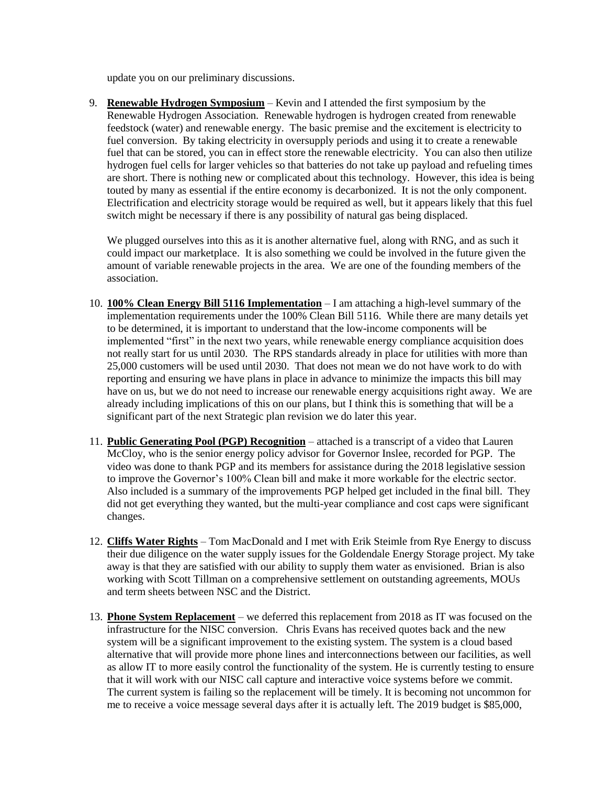update you on our preliminary discussions.

9. **Renewable Hydrogen Symposium** – Kevin and I attended the first symposium by the Renewable Hydrogen Association. Renewable hydrogen is hydrogen created from renewable feedstock (water) and renewable energy. The basic premise and the excitement is electricity to fuel conversion. By taking electricity in oversupply periods and using it to create a renewable fuel that can be stored, you can in effect store the renewable electricity. You can also then utilize hydrogen fuel cells for larger vehicles so that batteries do not take up payload and refueling times are short. There is nothing new or complicated about this technology. However, this idea is being touted by many as essential if the entire economy is decarbonized. It is not the only component. Electrification and electricity storage would be required as well, but it appears likely that this fuel switch might be necessary if there is any possibility of natural gas being displaced.

We plugged ourselves into this as it is another alternative fuel, along with RNG, and as such it could impact our marketplace. It is also something we could be involved in the future given the amount of variable renewable projects in the area. We are one of the founding members of the association.

- 10. **100% Clean Energy Bill 5116 Implementation** I am attaching a high-level summary of the implementation requirements under the 100% Clean Bill 5116. While there are many details yet to be determined, it is important to understand that the low-income components will be implemented "first" in the next two years, while renewable energy compliance acquisition does not really start for us until 2030. The RPS standards already in place for utilities with more than 25,000 customers will be used until 2030. That does not mean we do not have work to do with reporting and ensuring we have plans in place in advance to minimize the impacts this bill may have on us, but we do not need to increase our renewable energy acquisitions right away. We are already including implications of this on our plans, but I think this is something that will be a significant part of the next Strategic plan revision we do later this year.
- 11. **Public Generating Pool (PGP) Recognition** attached is a transcript of a video that Lauren McCloy, who is the senior energy policy advisor for Governor Inslee, recorded for PGP. The video was done to thank PGP and its members for assistance during the 2018 legislative session to improve the Governor's 100% Clean bill and make it more workable for the electric sector. Also included is a summary of the improvements PGP helped get included in the final bill. They did not get everything they wanted, but the multi-year compliance and cost caps were significant changes.
- 12. **Cliffs Water Rights** Tom MacDonald and I met with Erik Steimle from Rye Energy to discuss their due diligence on the water supply issues for the Goldendale Energy Storage project. My take away is that they are satisfied with our ability to supply them water as envisioned. Brian is also working with Scott Tillman on a comprehensive settlement on outstanding agreements, MOUs and term sheets between NSC and the District.
- 13. **Phone System Replacement** we deferred this replacement from 2018 as IT was focused on the infrastructure for the NISC conversion. Chris Evans has received quotes back and the new system will be a significant improvement to the existing system. The system is a cloud based alternative that will provide more phone lines and interconnections between our facilities, as well as allow IT to more easily control the functionality of the system. He is currently testing to ensure that it will work with our NISC call capture and interactive voice systems before we commit. The current system is failing so the replacement will be timely. It is becoming not uncommon for me to receive a voice message several days after it is actually left. The 2019 budget is \$85,000,